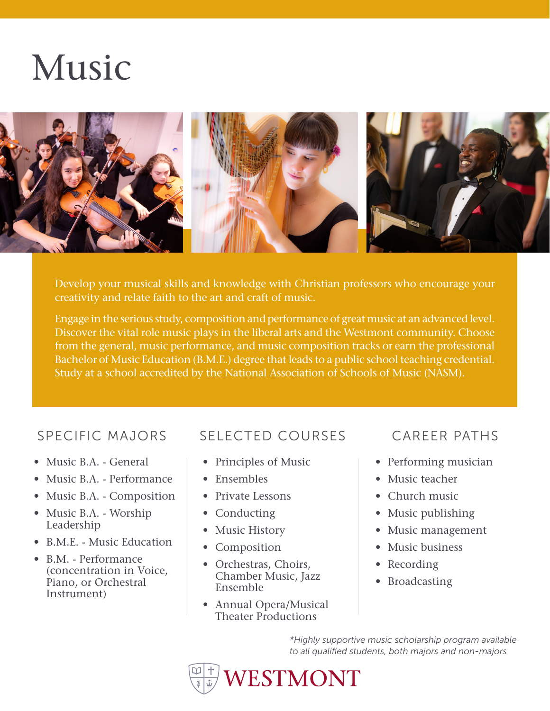# Music



Develop your musical skills and knowledge with Christian professors who encourage your creativity and relate faith to the art and craft of music.

Engage in the serious study, composition and performance of great music at an advanced level. Discover the vital role music plays in the liberal arts and the Westmont community. Choose from the general, music performance, and music composition tracks or earn the professional Bachelor of Music Education (B.M.E.) degree that leads to a public school teaching credential. Study at a school accredited by the National Association of Schools of Music (NASM).

- Music B.A. General
- Music B.A. Performance
- Music B.A. Composition
- Music B.A. Worship Leadership
- B.M.E. Music Education
- B.M. Performance (concentration in Voice, Piano, or Orchestral Instrument)

## SPECIFIC MAJORS SELECTED COURSES CAREER PATHS

- Principles of Music
- Ensembles
- Private Lessons
- Conducting
- Music History
- Composition
- Orchestras, Choirs, Chamber Music, Jazz Ensemble
- Annual Opera/Musical Theater Productions

- Performing musician
- Music teacher
- Church music
- Music publishing
- Music management
- Music business
- Recording
- Broadcasting

*\*Highly supportive music scholarship program available to all qualified students, both majors and non-majors*